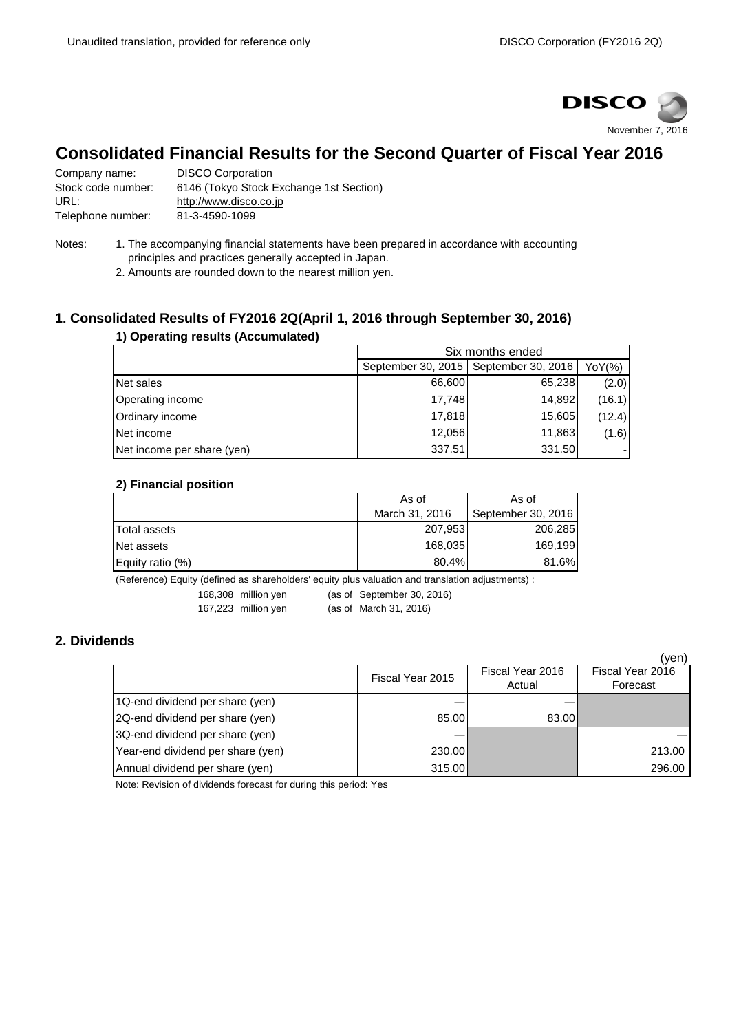

# **Consolidated Financial Results for the Second Quarter of Fiscal Year 2016**

Company name: DISCO Corporation Stock code number: 6146 (Tokyo Stock Exchange 1st Section) URL: [http://www.disco.co.jp](http://www.disco.co.jp/) Telephone number: 81-3-4590-1099

- Notes: 1. The accompanying financial statements have been prepared in accordance with accounting principles and practices generally accepted in Japan.
	- 2. Amounts are rounded down to the nearest million yen.

# **1. Consolidated Results of FY2016 2Q(April 1, 2016 through September 30, 2016)**

| 1) Operating results (Accumulated) |                                                     |                  |        |  |  |
|------------------------------------|-----------------------------------------------------|------------------|--------|--|--|
|                                    |                                                     | Six months ended |        |  |  |
|                                    | September 30, 2015   September 30, 2016  <br>YoY(%) |                  |        |  |  |
| Net sales                          | 66,600                                              | 65,238           | (2.0)  |  |  |
| Operating income                   | 17,748                                              | 14,892           | (16.1) |  |  |
| Ordinary income                    | 17,818                                              | 15,605           | (12.4) |  |  |
| Net income                         | 12,056                                              | 11,863           | (1.6)  |  |  |
| Net income per share (yen)         | 337.51                                              | 331.50           |        |  |  |

#### **2) Financial position**

|                     | As of          | As of              |  |
|---------------------|----------------|--------------------|--|
|                     | March 31, 2016 | September 30, 2016 |  |
| <b>Total assets</b> | 207,953        | 206,285            |  |
| Net assets          | 168,035        | 169.199            |  |
| Equity ratio (%)    | 80.4%          | 81.6%              |  |

(Reference) Equity (defined as shareholders' equity plus valuation and translation adjustments) :

168,308 million yen (as of September 30, 2016)

167,223 million yen (as of March 31, 2016)

# **2. Dividends**

|                                   |                  |                            | (yen)                        |
|-----------------------------------|------------------|----------------------------|------------------------------|
|                                   | Fiscal Year 2015 | Fiscal Year 2016<br>Actual | Fiscal Year 2016<br>Forecast |
| 1Q-end dividend per share (yen)   |                  |                            |                              |
| 2Q-end dividend per share (yen)   | 85,00            | 83.00                      |                              |
| 3Q-end dividend per share (yen)   |                  |                            |                              |
| Year-end dividend per share (yen) | 230.00           |                            | 213.00                       |
| Annual dividend per share (yen)   | 315.00           |                            | 296.00                       |

Note: Revision of dividends forecast for during this period: Yes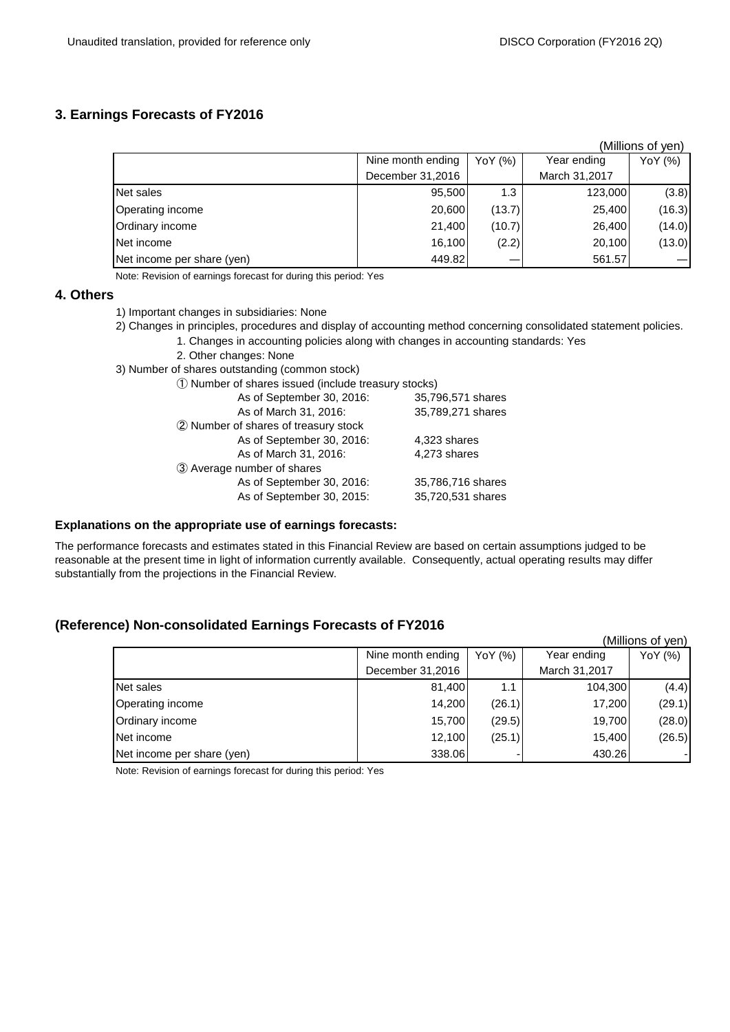### **3. Earnings Forecasts of FY2016**

|                            |                   |         |               | (Millions of yen) |
|----------------------------|-------------------|---------|---------------|-------------------|
|                            | Nine month ending | YoY (%) | Year ending   | YoY (%)           |
|                            | December 31,2016  |         | March 31,2017 |                   |
| Net sales                  | 95,500            | 1.3     | 123,000       | (3.8)             |
| Operating income           | 20,600            | (13.7)  | 25,400        | (16.3)            |
| Ordinary income            | 21,400            | (10.7)  | 26,400        | (14.0)            |
| Net income                 | 16,100            | (2.2)   | 20,100        | (13.0)            |
| Net income per share (yen) | 449.82            |         | 561.57        |                   |

Note: Revision of earnings forecast for during this period: Yes

#### **4. Others**

- 1) Important changes in subsidiaries: None
- 2) Changes in principles, procedures and display of accounting method concerning consolidated statement policies.
	- 1. Changes in accounting policies along with changes in accounting standards: Yes
	- 2. Other changes: None
- 3) Number of shares outstanding (common stock)

| As of September 30, 2016:            | 35,796,571 shares |
|--------------------------------------|-------------------|
| As of March 31, 2016:                | 35,789,271 shares |
| 2 Number of shares of treasury stock |                   |
| As of September 30, 2016:            | 4,323 shares      |
| As of March 31, 2016:                | 4,273 shares      |
| 3 Average number of shares           |                   |
| As of September 30, 2016:            | 35,786,716 shares |
| As of September 30, 2015:            | 35,720,531 shares |
|                                      |                   |

#### **Explanations on the appropriate use of earnings forecasts:**

The performance forecasts and estimates stated in this Financial Review are based on certain assumptions judged to be reasonable at the present time in light of information currently available. Consequently, actual operating results may differ substantially from the projections in the Financial Review.

## **(Reference) Non-consolidated Earnings Forecasts of FY2016**

|                            |                   |         |               | (Millions of yen) |
|----------------------------|-------------------|---------|---------------|-------------------|
|                            | Nine month ending | YoY (%) | Year ending   | YoY (%)           |
|                            | December 31,2016  |         | March 31,2017 |                   |
| Net sales                  | 81,400            | 1.1     | 104,300       | (4.4)             |
| Operating income           | 14,200            | (26.1)  | 17,200        | (29.1)            |
| Ordinary income            | 15,700            | (29.5)  | 19,700        | (28.0)            |
| Net income                 | 12,100            | (25.1)  | 15,400        | (26.5)            |
| Net income per share (yen) | 338.06            |         | 430.26        |                   |

Note: Revision of earnings forecast for during this period: Yes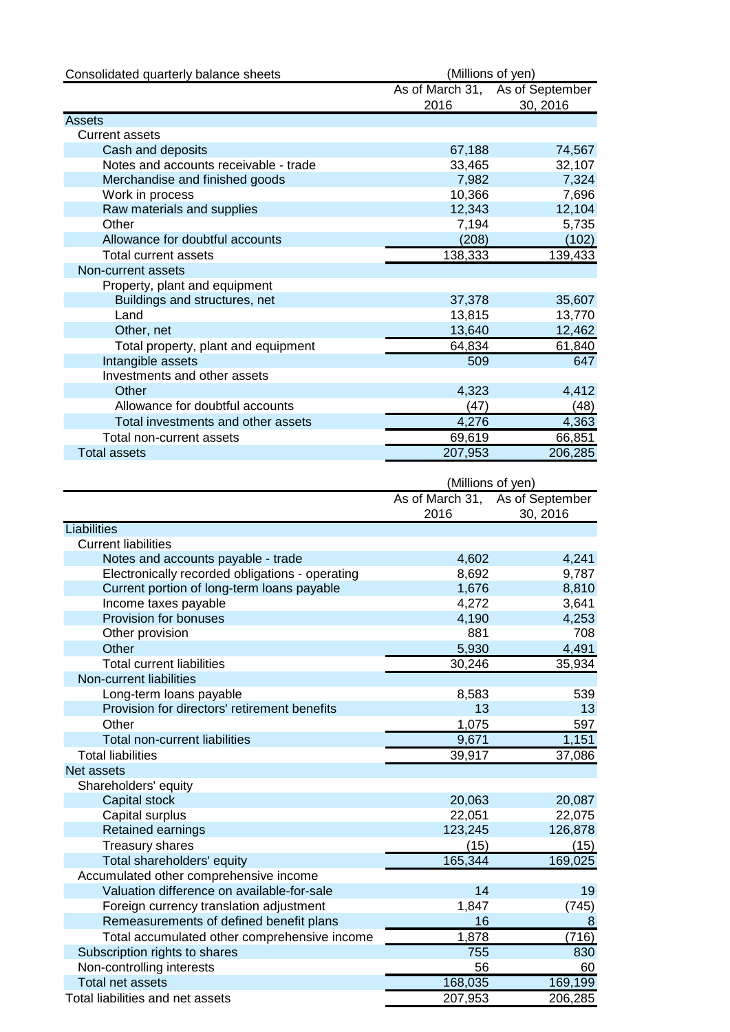| Consolidated quarterly balance sheets           | (Millions of yen) |                                 |
|-------------------------------------------------|-------------------|---------------------------------|
|                                                 |                   | As of March 31, As of September |
|                                                 | 2016              | 30, 2016                        |
| <b>Assets</b>                                   |                   |                                 |
| <b>Current assets</b>                           |                   |                                 |
| Cash and deposits                               | 67,188            | 74,567                          |
| Notes and accounts receivable - trade           | 33,465            | 32,107                          |
| Merchandise and finished goods                  | 7,982<br>10,366   | 7,324<br>7,696                  |
| Work in process<br>Raw materials and supplies   | 12,343            | 12,104                          |
| Other                                           | 7,194             | 5,735                           |
| Allowance for doubtful accounts                 | (208)             | (102)                           |
| <b>Total current assets</b>                     | 138,333           | 139,433                         |
| Non-current assets                              |                   |                                 |
| Property, plant and equipment                   |                   |                                 |
| Buildings and structures, net                   | 37,378            | 35,607                          |
| Land                                            | 13,815            | 13,770                          |
| Other, net                                      | 13,640            | 12,462                          |
| Total property, plant and equipment             | 64,834            | 61,840                          |
| Intangible assets                               | 509               | 647                             |
| Investments and other assets                    |                   |                                 |
| Other                                           | 4,323             | 4,412                           |
| Allowance for doubtful accounts                 | (47)              | (48)                            |
| Total investments and other assets              | 4,276             | 4,363                           |
| Total non-current assets                        | 69,619            | 66,851                          |
| <b>Total assets</b>                             | 207,953           | 206,285                         |
|                                                 |                   |                                 |
|                                                 | (Millions of yen) |                                 |
|                                                 |                   | As of March 31, As of September |
| Liabilities                                     | 2016              | 30, 2016                        |
| <b>Current liabilities</b>                      |                   |                                 |
| Notes and accounts payable - trade              | 4,602             | 4,241                           |
| Electronically recorded obligations - operating | 8,692             | 9,787                           |
| Current portion of long-term loans payable      | 1,676             | 8,810                           |
| Income taxes payable                            | 4,272             | 3,641                           |
| Provision for bonuses                           | 4,190             | 4,253                           |
| Other provision                                 | 881               | 708                             |
| Other                                           | 5,930             | 4,491                           |
| <b>Total current liabilities</b>                | 30,246            | 35,934                          |
| Non-current liabilities                         |                   |                                 |
| Long-term loans payable                         | 8,583             | 539                             |
| Provision for directors' retirement benefits    | 13                | 13                              |
| Other                                           | 1,075             | 597                             |
| <b>Total non-current liabilities</b>            | 9,671             | 1,151                           |
| <b>Total liabilities</b>                        | 39,917            | 37,086                          |
| Net assets                                      |                   |                                 |
| Shareholders' equity                            |                   |                                 |
| <b>Capital stock</b>                            | 20,063            | 20,087                          |
| Capital surplus                                 | 22,051            | 22,075                          |
| Retained earnings                               | 123,245           | 126,878                         |
| <b>Treasury shares</b>                          | (15)              | (15)                            |
| Total shareholders' equity                      | 165,344           | 169,025                         |
| Accumulated other comprehensive income          |                   |                                 |
| Valuation difference on available-for-sale      | 14                | 19                              |
| Foreign currency translation adjustment         | 1,847             | (745)                           |
| Remeasurements of defined benefit plans         | 16                | 8                               |
| Total accumulated other comprehensive income    | 1,878             | (716)                           |
| Subscription rights to shares                   | 755               | 830                             |
| Non-controlling interests                       | 56                | 60                              |
| <b>Total net assets</b>                         | 168,035           | 169,199                         |
| Total liabilities and net assets                | 207,953           | 206,285                         |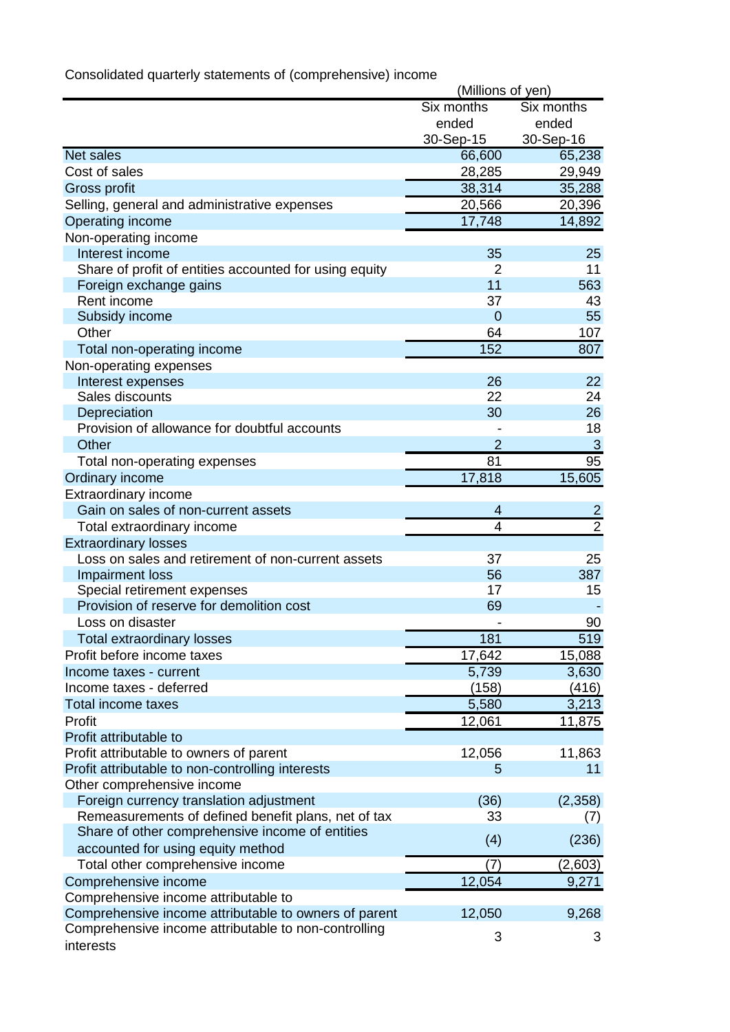|                                                        | (Millions of yen) |                |  |
|--------------------------------------------------------|-------------------|----------------|--|
|                                                        | Six months        | Six months     |  |
|                                                        | ended             | ended          |  |
|                                                        | 30-Sep-15         | 30-Sep-16      |  |
| <b>Net sales</b>                                       | 66,600            | 65,238         |  |
| Cost of sales                                          | 28,285            | 29,949         |  |
| Gross profit                                           | 38,314            | 35,288         |  |
| Selling, general and administrative expenses           | 20,566            | 20,396         |  |
| Operating income                                       | 17,748            | 14,892         |  |
| Non-operating income                                   |                   |                |  |
| Interest income                                        | 35                | 25             |  |
| Share of profit of entities accounted for using equity | 2                 | 11             |  |
| Foreign exchange gains                                 | 11                | 563            |  |
| Rent income                                            | 37                | 43             |  |
| Subsidy income                                         | $\overline{0}$    | 55             |  |
| Other                                                  | 64                | 107            |  |
| Total non-operating income                             | 152               | 807            |  |
| Non-operating expenses                                 |                   |                |  |
| Interest expenses                                      | 26                | 22             |  |
| Sales discounts                                        | 22                | 24             |  |
| Depreciation                                           | 30                | 26             |  |
| Provision of allowance for doubtful accounts           |                   | 18             |  |
| Other                                                  | $\overline{2}$    | $\mathbf{3}$   |  |
| Total non-operating expenses                           | 81                | 95             |  |
| Ordinary income                                        | 17,818            | 15,605         |  |
| Extraordinary income                                   |                   |                |  |
| Gain on sales of non-current assets                    | 4                 | $\overline{2}$ |  |
| Total extraordinary income                             | 4                 | $\overline{2}$ |  |
| <b>Extraordinary losses</b>                            |                   |                |  |
| Loss on sales and retirement of non-current assets     | 37                | 25             |  |
| Impairment loss                                        | 56                | 387            |  |
| Special retirement expenses                            | 17                | 15             |  |
| Provision of reserve for demolition cost               | 69                |                |  |
| Loss on disaster                                       |                   | 90             |  |
| Total extraordinary losses                             | 181               | 519            |  |
| Profit before income taxes                             | 17,642            | 15,088         |  |
| Income taxes - current                                 | 5,739             | 3,630          |  |
| Income taxes - deferred                                | (158)             | (416)          |  |
| Total income taxes                                     | 5,580             | 3,213          |  |
| Profit                                                 | 12,061            | 11,875         |  |
| Profit attributable to                                 |                   |                |  |
| Profit attributable to owners of parent                | 12,056            | 11,863         |  |
| Profit attributable to non-controlling interests       | 5                 | 11             |  |
| Other comprehensive income                             |                   |                |  |
| Foreign currency translation adjustment                | (36)              | (2,358)        |  |
| Remeasurements of defined benefit plans, net of tax    | 33                | (7)            |  |
| Share of other comprehensive income of entities        | (4)               | (236)          |  |
| accounted for using equity method                      |                   |                |  |
| Total other comprehensive income                       | (7)               | (2,603)        |  |
| Comprehensive income                                   | 12,054            | 9,271          |  |
| Comprehensive income attributable to                   |                   |                |  |
| Comprehensive income attributable to owners of parent  | 12,050            | 9,268          |  |
| Comprehensive income attributable to non-controlling   | 3                 | 3              |  |
| interests                                              |                   |                |  |

Consolidated quarterly statements of (comprehensive) income